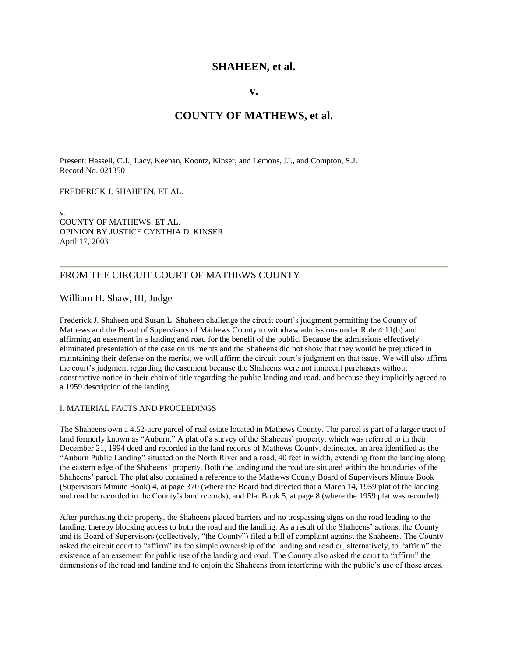## **SHAHEEN, et al.**

## **v.**

# **COUNTY OF MATHEWS, et al.**

Present: Hassell, C.J., Lacy, Keenan, Koontz, Kinser, and Lemons, JJ., and Compton, S.J. Record No. 021350

FREDERICK J. SHAHEEN, ET AL.

v. COUNTY OF MATHEWS, ET AL. OPINION BY JUSTICE CYNTHIA D. KINSER April 17, 2003

## FROM THE CIRCUIT COURT OF MATHEWS COUNTY

## William H. Shaw, III, Judge

Frederick J. Shaheen and Susan L. Shaheen challenge the circuit court's judgment permitting the County of Mathews and the Board of Supervisors of Mathews County to withdraw admissions under Rule 4:11(b) and affirming an easement in a landing and road for the benefit of the public. Because the admissions effectively eliminated presentation of the case on its merits and the Shaheens did not show that they would be prejudiced in maintaining their defense on the merits, we will affirm the circuit court's judgment on that issue. We will also affirm the court's judgment regarding the easement because the Shaheens were not innocent purchasers without constructive notice in their chain of title regarding the public landing and road, and because they implicitly agreed to a 1959 description of the landing.

### I. MATERIAL FACTS AND PROCEEDINGS

The Shaheens own a 4.52-acre parcel of real estate located in Mathews County. The parcel is part of a larger tract of land formerly known as "Auburn." A plat of a survey of the Shaheens' property, which was referred to in their December 21, 1994 deed and recorded in the land records of Mathews County, delineated an area identified as the "Auburn Public Landing" situated on the North River and a road, 40 feet in width, extending from the landing along the eastern edge of the Shaheens' property. Both the landing and the road are situated within the boundaries of the Shaheens' parcel. The plat also contained a reference to the Mathews County Board of Supervisors Minute Book (Supervisors Minute Book) 4, at page 370 (where the Board had directed that a March 14, 1959 plat of the landing and road be recorded in the County's land records), and Plat Book 5, at page 8 (where the 1959 plat was recorded).

After purchasing their property, the Shaheens placed barriers and no trespassing signs on the road leading to the landing, thereby blocking access to both the road and the landing. As a result of the Shaheens' actions, the County and its Board of Supervisors (collectively, "the County") filed a bill of complaint against the Shaheens. The County asked the circuit court to "affirm" its fee simple ownership of the landing and road or, alternatively, to "affirm" the existence of an easement for public use of the landing and road. The County also asked the court to "affirm" the dimensions of the road and landing and to enjoin the Shaheens from interfering with the public's use of those areas.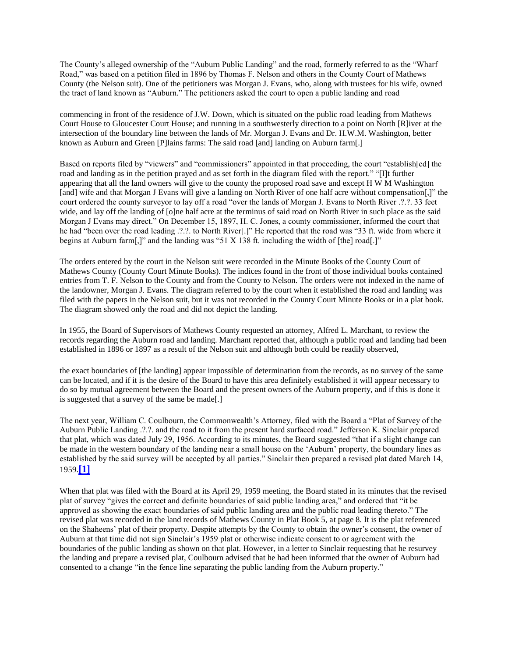The County's alleged ownership of the "Auburn Public Landing" and the road, formerly referred to as the "Wharf Road," was based on a petition filed in 1896 by Thomas F. Nelson and others in the County Court of Mathews County (the Nelson suit). One of the petitioners was Morgan J. Evans, who, along with trustees for his wife, owned the tract of land known as "Auburn." The petitioners asked the court to open a public landing and road

commencing in front of the residence of J.W. Down, which is situated on the public road leading from Mathews Court House to Gloucester Court House; and running in a southwesterly direction to a point on North [R]iver at the intersection of the boundary line between the lands of Mr. Morgan J. Evans and Dr. H.W.M. Washington, better known as Auburn and Green [P]lains farms: The said road [and] landing on Auburn farm[.]

Based on reports filed by "viewers" and "commissioners" appointed in that proceeding, the court "establish[ed] the road and landing as in the petition prayed and as set forth in the diagram filed with the report." "[I]t further appearing that all the land owners will give to the county the proposed road save and except H W M Washington [and] wife and that Morgan J Evans will give a landing on North River of one half acre without compensation[,]" the court ordered the county surveyor to lay off a road "over the lands of Morgan J. Evans to North River .?.?. 33 feet wide, and lay off the landing of [o]ne half acre at the terminus of said road on North River in such place as the said Morgan J Evans may direct." On December 15, 1897, H. C. Jones, a county commissioner, informed the court that he had "been over the road leading .?.?. to North River[.]" He reported that the road was "33 ft. wide from where it begins at Auburn farm[,]" and the landing was "51 X 138 ft. including the width of [the] road[.]"

The orders entered by the court in the Nelson suit were recorded in the Minute Books of the County Court of Mathews County (County Court Minute Books). The indices found in the front of those individual books contained entries from T. F. Nelson to the County and from the County to Nelson. The orders were not indexed in the name of the landowner, Morgan J. Evans. The diagram referred to by the court when it established the road and landing was filed with the papers in the Nelson suit, but it was not recorded in the County Court Minute Books or in a plat book. The diagram showed only the road and did not depict the landing.

In 1955, the Board of Supervisors of Mathews County requested an attorney, Alfred L. Marchant, to review the records regarding the Auburn road and landing. Marchant reported that, although a public road and landing had been established in 1896 or 1897 as a result of the Nelson suit and although both could be readily observed,

the exact boundaries of [the landing] appear impossible of determination from the records, as no survey of the same can be located, and if it is the desire of the Board to have this area definitely established it will appear necessary to do so by mutual agreement between the Board and the present owners of the Auburn property, and if this is done it is suggested that a survey of the same be made[.]

The next year, William C. Coulbourn, the Commonwealth's Attorney, filed with the Board a "Plat of Survey of the Auburn Public Landing .?.?. and the road to it from the present hard surfaced road." Jefferson K. Sinclair prepared that plat, which was dated July 29, 1956. According to its minutes, the Board suggested "that if a slight change can be made in the western boundary of the landing near a small house on the 'Auburn' property, the boundary lines as established by the said survey will be accepted by all parties." Sinclair then prepared a revised plat dated March 14, 1959.**[\[1\]](http://valawyersweekly.com/fulltext-opinions/2003/04/18/shaheen-et-al-v-county-of-mathews-et-al/#fn1)**

When that plat was filed with the Board at its April 29, 1959 meeting, the Board stated in its minutes that the revised plat of survey "gives the correct and definite boundaries of said public landing area," and ordered that "it be approved as showing the exact boundaries of said public landing area and the public road leading thereto." The revised plat was recorded in the land records of Mathews County in Plat Book 5, at page 8. It is the plat referenced on the Shaheens' plat of their property. Despite attempts by the County to obtain the owner's consent, the owner of Auburn at that time did not sign Sinclair's 1959 plat or otherwise indicate consent to or agreement with the boundaries of the public landing as shown on that plat. However, in a letter to Sinclair requesting that he resurvey the landing and prepare a revised plat, Coulbourn advised that he had been informed that the owner of Auburn had consented to a change "in the fence line separating the public landing from the Auburn property."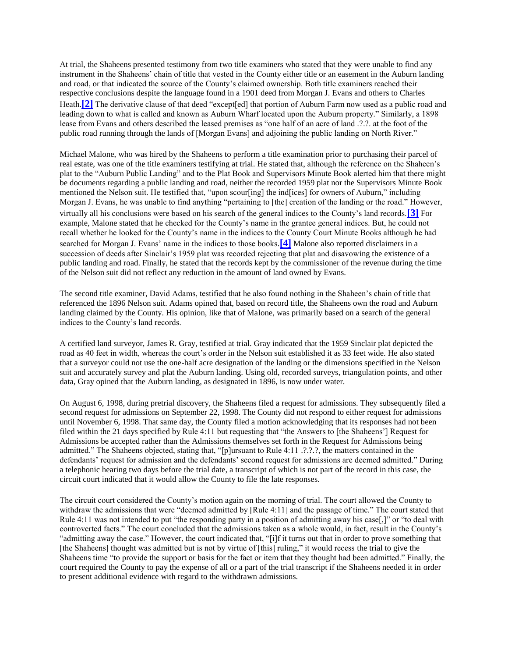At trial, the Shaheens presented testimony from two title examiners who stated that they were unable to find any instrument in the Shaheens' chain of title that vested in the County either title or an easement in the Auburn landing and road, or that indicated the source of the County's claimed ownership. Both title examiners reached their respective conclusions despite the language found in a 1901 deed from Morgan J. Evans and others to Charles Heath.<sup>[\[2\]](http://valawyersweekly.com/fulltext-opinions/2003/04/18/shaheen-et-al-v-county-of-mathews-et-al/#fn2)</sup> The derivative clause of that deed "except[ed] that portion of Auburn Farm now used as a public road and leading down to what is called and known as Auburn Wharf located upon the Auburn property." Similarly, a 1898 lease from Evans and others described the leased premises as "one half of an acre of land .?.?. at the foot of the public road running through the lands of [Morgan Evans] and adjoining the public landing on North River."

Michael Malone, who was hired by the Shaheens to perform a title examination prior to purchasing their parcel of real estate, was one of the title examiners testifying at trial. He stated that, although the reference on the Shaheen's plat to the "Auburn Public Landing" and to the Plat Book and Supervisors Minute Book alerted him that there might be documents regarding a public landing and road, neither the recorded 1959 plat nor the Supervisors Minute Book mentioned the Nelson suit. He testified that, "upon scour[ing] the ind[ices] for owners of Auburn," including Morgan J. Evans, he was unable to find anything "pertaining to [the] creation of the landing or the road." However, virtually all his conclusions were based on his search of the general indices to the County's land records.**[\[3\]](http://valawyersweekly.com/fulltext-opinions/2003/04/18/shaheen-et-al-v-county-of-mathews-et-al/#fn3)** For example, Malone stated that he checked for the County's name in the grantee general indices. But, he could not recall whether he looked for the County's name in the indices to the County Court Minute Books although he had searched for Morgan J. Evans' name in the indices to those books.**[\[4\]](http://valawyersweekly.com/fulltext-opinions/2003/04/18/shaheen-et-al-v-county-of-mathews-et-al/#fn4)** Malone also reported disclaimers in a succession of deeds after Sinclair's 1959 plat was recorded rejecting that plat and disavowing the existence of a public landing and road. Finally, he stated that the records kept by the commissioner of the revenue during the time of the Nelson suit did not reflect any reduction in the amount of land owned by Evans.

The second title examiner, David Adams, testified that he also found nothing in the Shaheen's chain of title that referenced the 1896 Nelson suit. Adams opined that, based on record title, the Shaheens own the road and Auburn landing claimed by the County. His opinion, like that of Malone, was primarily based on a search of the general indices to the County's land records.

A certified land surveyor, James R. Gray, testified at trial. Gray indicated that the 1959 Sinclair plat depicted the road as 40 feet in width, whereas the court's order in the Nelson suit established it as 33 feet wide. He also stated that a surveyor could not use the one-half acre designation of the landing or the dimensions specified in the Nelson suit and accurately survey and plat the Auburn landing. Using old, recorded surveys, triangulation points, and other data, Gray opined that the Auburn landing, as designated in 1896, is now under water.

On August 6, 1998, during pretrial discovery, the Shaheens filed a request for admissions. They subsequently filed a second request for admissions on September 22, 1998. The County did not respond to either request for admissions until November 6, 1998. That same day, the County filed a motion acknowledging that its responses had not been filed within the 21 days specified by Rule 4:11 but requesting that "the Answers to [the Shaheens'] Request for Admissions be accepted rather than the Admissions themselves set forth in the Request for Admissions being admitted." The Shaheens objected, stating that, "[p]ursuant to Rule 4:11 .?.?.?, the matters contained in the defendants' request for admission and the defendants' second request for admissions are deemed admitted." During a telephonic hearing two days before the trial date, a transcript of which is not part of the record in this case, the circuit court indicated that it would allow the County to file the late responses.

The circuit court considered the County's motion again on the morning of trial. The court allowed the County to withdraw the admissions that were "deemed admitted by [Rule 4:11] and the passage of time." The court stated that Rule 4:11 was not intended to put "the responding party in a position of admitting away his case[,]" or "to deal with controverted facts." The court concluded that the admissions taken as a whole would, in fact, result in the County's "admitting away the case." However, the court indicated that, "[i]f it turns out that in order to prove something that [the Shaheens] thought was admitted but is not by virtue of [this] ruling," it would recess the trial to give the Shaheens time "to provide the support or basis for the fact or item that they thought had been admitted." Finally, the court required the County to pay the expense of all or a part of the trial transcript if the Shaheens needed it in order to present additional evidence with regard to the withdrawn admissions.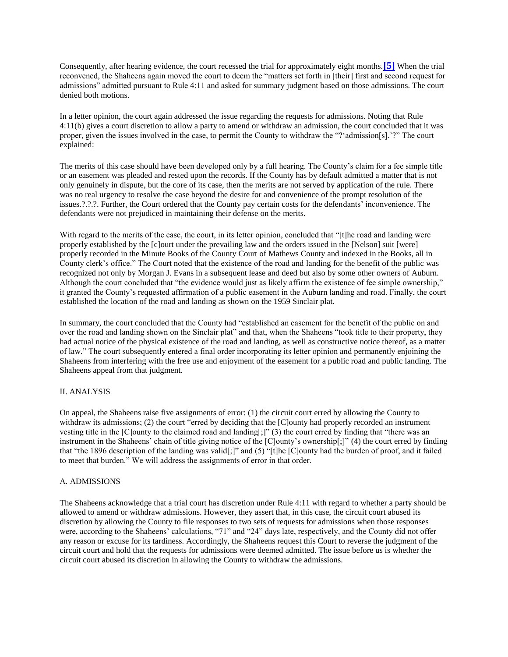Consequently, after hearing evidence, the court recessed the trial for approximately eight months.**[\[5\]](http://valawyersweekly.com/fulltext-opinions/2003/04/18/shaheen-et-al-v-county-of-mathews-et-al/#fn5)** When the trial reconvened, the Shaheens again moved the court to deem the "matters set forth in [their] first and second request for admissions" admitted pursuant to Rule 4:11 and asked for summary judgment based on those admissions. The court denied both motions.

In a letter opinion, the court again addressed the issue regarding the requests for admissions. Noting that Rule 4:11(b) gives a court discretion to allow a party to amend or withdraw an admission, the court concluded that it was proper, given the issues involved in the case, to permit the County to withdraw the "?'admission[s].'?" The court explained:

The merits of this case should have been developed only by a full hearing. The County's claim for a fee simple title or an easement was pleaded and rested upon the records. If the County has by default admitted a matter that is not only genuinely in dispute, but the core of its case, then the merits are not served by application of the rule. There was no real urgency to resolve the case beyond the desire for and convenience of the prompt resolution of the issues.?.?.?. Further, the Court ordered that the County pay certain costs for the defendants' inconvenience. The defendants were not prejudiced in maintaining their defense on the merits.

With regard to the merits of the case, the court, in its letter opinion, concluded that "[t]he road and landing were properly established by the [c]ourt under the prevailing law and the orders issued in the [Nelson] suit [were] properly recorded in the Minute Books of the County Court of Mathews County and indexed in the Books, all in County clerk's office." The Court noted that the existence of the road and landing for the benefit of the public was recognized not only by Morgan J. Evans in a subsequent lease and deed but also by some other owners of Auburn. Although the court concluded that "the evidence would just as likely affirm the existence of fee simple ownership," it granted the County's requested affirmation of a public easement in the Auburn landing and road. Finally, the court established the location of the road and landing as shown on the 1959 Sinclair plat.

In summary, the court concluded that the County had "established an easement for the benefit of the public on and over the road and landing shown on the Sinclair plat" and that, when the Shaheens "took title to their property, they had actual notice of the physical existence of the road and landing, as well as constructive notice thereof, as a matter of law." The court subsequently entered a final order incorporating its letter opinion and permanently enjoining the Shaheens from interfering with the free use and enjoyment of the easement for a public road and public landing. The Shaheens appeal from that judgment.

### II. ANALYSIS

On appeal, the Shaheens raise five assignments of error: (1) the circuit court erred by allowing the County to withdraw its admissions; (2) the court "erred by deciding that the [C]ounty had properly recorded an instrument vesting title in the [C]ounty to the claimed road and landing[;]" (3) the court erred by finding that "there was an instrument in the Shaheens' chain of title giving notice of the [C]ounty's ownership[;]" (4) the court erred by finding that "the 1896 description of the landing was valid[;]" and (5) "[t]he [C]ounty had the burden of proof, and it failed to meet that burden." We will address the assignments of error in that order.

#### A. ADMISSIONS

The Shaheens acknowledge that a trial court has discretion under Rule 4:11 with regard to whether a party should be allowed to amend or withdraw admissions. However, they assert that, in this case, the circuit court abused its discretion by allowing the County to file responses to two sets of requests for admissions when those responses were, according to the Shaheens' calculations, "71" and "24" days late, respectively, and the County did not offer any reason or excuse for its tardiness. Accordingly, the Shaheens request this Court to reverse the judgment of the circuit court and hold that the requests for admissions were deemed admitted. The issue before us is whether the circuit court abused its discretion in allowing the County to withdraw the admissions.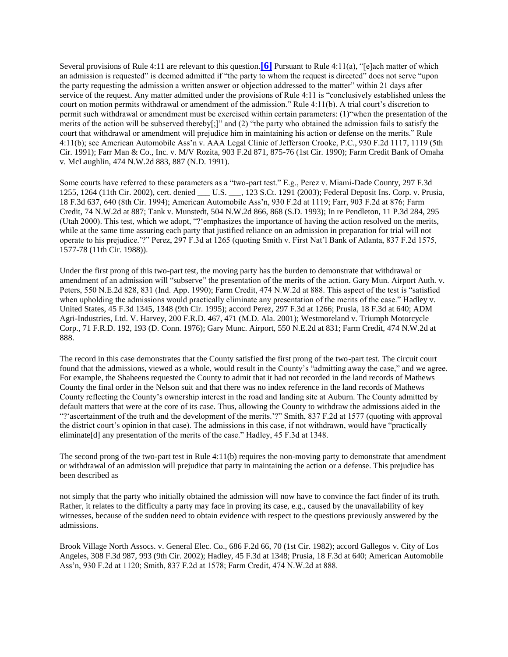Several provisions of Rule 4:11 are relevant to this question.**[\[6\]](http://valawyersweekly.com/fulltext-opinions/2003/04/18/shaheen-et-al-v-county-of-mathews-et-al/#fn6)** Pursuant to Rule 4:11(a), "[e]ach matter of which an admission is requested" is deemed admitted if "the party to whom the request is directed" does not serve "upon the party requesting the admission a written answer or objection addressed to the matter" within 21 days after service of the request. Any matter admitted under the provisions of Rule 4:11 is "conclusively established unless the court on motion permits withdrawal or amendment of the admission." Rule 4:11(b). A trial court's discretion to permit such withdrawal or amendment must be exercised within certain parameters: (1)"when the presentation of the merits of the action will be subserved thereby[;]" and (2) "the party who obtained the admission fails to satisfy the court that withdrawal or amendment will prejudice him in maintaining his action or defense on the merits." Rule 4:11(b); see American Automobile Ass'n v. AAA Legal Clinic of Jefferson Crooke, P.C., 930 F.2d 1117, 1119 (5th Cir. 1991); Farr Man & Co., Inc. v. M/V Rozita, 903 F.2d 871, 875-76 (1st Cir. 1990); Farm Credit Bank of Omaha v. McLaughlin, 474 N.W.2d 883, 887 (N.D. 1991).

Some courts have referred to these parameters as a "two-part test." E.g., Perez v. Miami-Dade County, 297 F.3d 1255, 1264 (11th Cir. 2002), cert. denied \_\_\_ U.S. \_\_\_, 123 S.Ct. 1291 (2003); Federal Deposit Ins. Corp. v. Prusia, 18 F.3d 637, 640 (8th Cir. 1994); American Automobile Ass'n, 930 F.2d at 1119; Farr, 903 F.2d at 876; Farm Credit, 74 N.W.2d at 887; Tank v. Munstedt, 504 N.W.2d 866, 868 (S.D. 1993); In re Pendleton, 11 P.3d 284, 295 (Utah 2000). This test, which we adopt, "?'emphasizes the importance of having the action resolved on the merits, while at the same time assuring each party that justified reliance on an admission in preparation for trial will not operate to his prejudice.'?" Perez, 297 F.3d at 1265 (quoting Smith v. First Nat'l Bank of Atlanta, 837 F.2d 1575, 1577-78 (11th Cir. 1988)).

Under the first prong of this two-part test, the moving party has the burden to demonstrate that withdrawal or amendment of an admission will "subserve" the presentation of the merits of the action. Gary Mun. Airport Auth. v. Peters, 550 N.E.2d 828, 831 (Ind. App. 1990); Farm Credit, 474 N.W.2d at 888. This aspect of the test is "satisfied when upholding the admissions would practically eliminate any presentation of the merits of the case." Hadley v. United States, 45 F.3d 1345, 1348 (9th Cir. 1995); accord Perez, 297 F.3d at 1266; Prusia, 18 F.3d at 640; ADM Agri-Industries, Ltd. V. Harvey, 200 F.R.D. 467, 471 (M.D. Ala. 2001); Westmoreland v. Triumph Motorcycle Corp., 71 F.R.D. 192, 193 (D. Conn. 1976); Gary Munc. Airport, 550 N.E.2d at 831; Farm Credit, 474 N.W.2d at 888.

The record in this case demonstrates that the County satisfied the first prong of the two-part test. The circuit court found that the admissions, viewed as a whole, would result in the County's "admitting away the case," and we agree. For example, the Shaheens requested the County to admit that it had not recorded in the land records of Mathews County the final order in the Nelson suit and that there was no index reference in the land records of Mathews County reflecting the County's ownership interest in the road and landing site at Auburn. The County admitted by default matters that were at the core of its case. Thus, allowing the County to withdraw the admissions aided in the "?'ascertainment of the truth and the development of the merits.'?" Smith, 837 F.2d at 1577 (quoting with approval the district court's opinion in that case). The admissions in this case, if not withdrawn, would have "practically eliminate<sup>[d]</sup> any presentation of the merits of the case." Hadley, 45 F.3d at 1348.

The second prong of the two-part test in Rule 4:11(b) requires the non-moving party to demonstrate that amendment or withdrawal of an admission will prejudice that party in maintaining the action or a defense. This prejudice has been described as

not simply that the party who initially obtained the admission will now have to convince the fact finder of its truth. Rather, it relates to the difficulty a party may face in proving its case, e.g., caused by the unavailability of key witnesses, because of the sudden need to obtain evidence with respect to the questions previously answered by the admissions.

Brook Village North Assocs. v. General Elec. Co., 686 F.2d 66, 70 (1st Cir. 1982); accord Gallegos v. City of Los Angeles, 308 F.3d 987, 993 (9th Cir. 2002); Hadley, 45 F.3d at 1348; Prusia, 18 F.3d at 640; American Automobile Ass'n, 930 F.2d at 1120; Smith, 837 F.2d at 1578; Farm Credit, 474 N.W.2d at 888.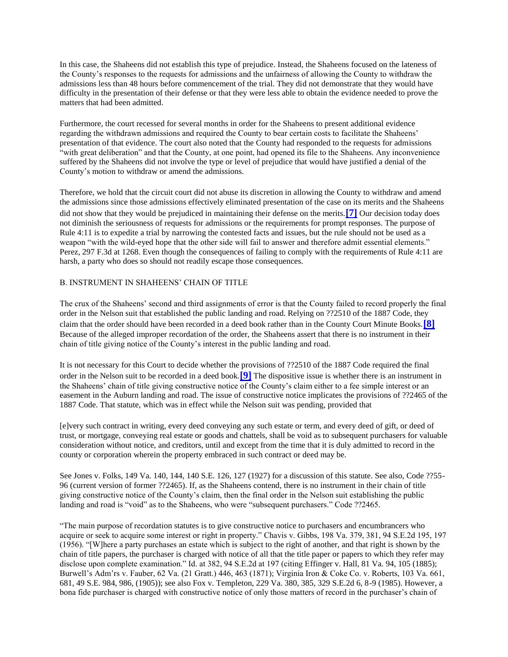In this case, the Shaheens did not establish this type of prejudice. Instead, the Shaheens focused on the lateness of the County's responses to the requests for admissions and the unfairness of allowing the County to withdraw the admissions less than 48 hours before commencement of the trial. They did not demonstrate that they would have difficulty in the presentation of their defense or that they were less able to obtain the evidence needed to prove the matters that had been admitted.

Furthermore, the court recessed for several months in order for the Shaheens to present additional evidence regarding the withdrawn admissions and required the County to bear certain costs to facilitate the Shaheens' presentation of that evidence. The court also noted that the County had responded to the requests for admissions "with great deliberation" and that the County, at one point, had opened its file to the Shaheens. Any inconvenience suffered by the Shaheens did not involve the type or level of prejudice that would have justified a denial of the County's motion to withdraw or amend the admissions.

Therefore, we hold that the circuit court did not abuse its discretion in allowing the County to withdraw and amend the admissions since those admissions effectively eliminated presentation of the case on its merits and the Shaheens did not show that they would be prejudiced in maintaining their defense on the merits.**[\[7\]](http://valawyersweekly.com/fulltext-opinions/2003/04/18/shaheen-et-al-v-county-of-mathews-et-al/#fn7)** Our decision today does not diminish the seriousness of requests for admissions or the requirements for prompt responses. The purpose of Rule 4:11 is to expedite a trial by narrowing the contested facts and issues, but the rule should not be used as a weapon "with the wild-eyed hope that the other side will fail to answer and therefore admit essential elements." Perez, 297 F.3d at 1268. Even though the consequences of failing to comply with the requirements of Rule 4:11 are harsh, a party who does so should not readily escape those consequences.

## B. INSTRUMENT IN SHAHEENS' CHAIN OF TITLE

The crux of the Shaheens' second and third assignments of error is that the County failed to record properly the final order in the Nelson suit that established the public landing and road. Relying on ??2510 of the 1887 Code, they claim that the order should have been recorded in a deed book rather than in the County Court Minute Books.**[\[8\]](http://valawyersweekly.com/fulltext-opinions/2003/04/18/shaheen-et-al-v-county-of-mathews-et-al/#fn8)** Because of the alleged improper recordation of the order, the Shaheens assert that there is no instrument in their chain of title giving notice of the County's interest in the public landing and road.

It is not necessary for this Court to decide whether the provisions of ??2510 of the 1887 Code required the final order in the Nelson suit to be recorded in a deed book.**[\[9\]](http://valawyersweekly.com/fulltext-opinions/2003/04/18/shaheen-et-al-v-county-of-mathews-et-al/#fn9)** The dispositive issue is whether there is an instrument in the Shaheens' chain of title giving constructive notice of the County's claim either to a fee simple interest or an easement in the Auburn landing and road. The issue of constructive notice implicates the provisions of ??2465 of the 1887 Code. That statute, which was in effect while the Nelson suit was pending, provided that

[e]very such contract in writing, every deed conveying any such estate or term, and every deed of gift, or deed of trust, or mortgage, conveying real estate or goods and chattels, shall be void as to subsequent purchasers for valuable consideration without notice, and creditors, until and except from the time that it is duly admitted to record in the county or corporation wherein the property embraced in such contract or deed may be.

See Jones v. Folks, 149 Va. 140, 144, 140 S.E. 126, 127 (1927) for a discussion of this statute. See also, Code ??55- 96 (current version of former ??2465). If, as the Shaheens contend, there is no instrument in their chain of title giving constructive notice of the County's claim, then the final order in the Nelson suit establishing the public landing and road is "void" as to the Shaheens, who were "subsequent purchasers." Code ??2465.

"The main purpose of recordation statutes is to give constructive notice to purchasers and encumbrancers who acquire or seek to acquire some interest or right in property." Chavis v. Gibbs, 198 Va. 379, 381, 94 S.E.2d 195, 197 (1956). "[W]here a party purchases an estate which is subject to the right of another, and that right is shown by the chain of title papers, the purchaser is charged with notice of all that the title paper or papers to which they refer may disclose upon complete examination." Id. at 382, 94 S.E.2d at 197 (citing Effinger v. Hall, 81 Va. 94, 105 (1885); Burwell's Adm'rs v. Fauber, 62 Va. (21 Gratt.) 446, 463 (1871); Virginia Iron & Coke Co. v. Roberts, 103 Va. 661, 681, 49 S.E. 984, 986, (1905)); see also Fox v. Templeton, 229 Va. 380, 385, 329 S.E.2d 6, 8-9 (1985). However, a bona fide purchaser is charged with constructive notice of only those matters of record in the purchaser's chain of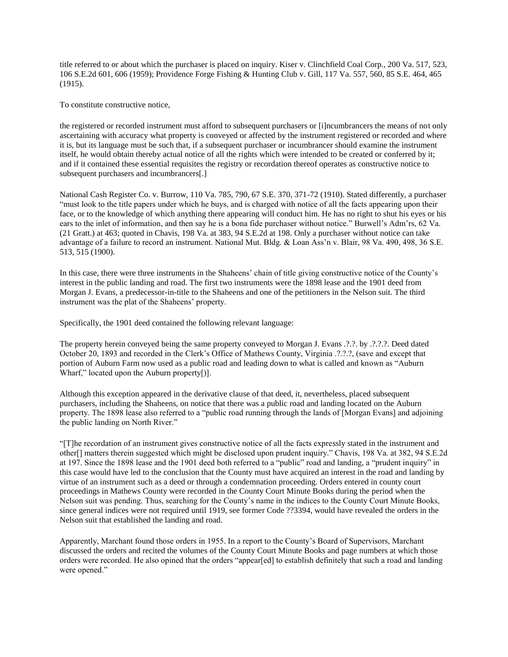title referred to or about which the purchaser is placed on inquiry. Kiser v. Clinchfield Coal Corp., 200 Va. 517, 523, 106 S.E.2d 601, 606 (1959); Providence Forge Fishing & Hunting Club v. Gill, 117 Va. 557, 560, 85 S.E. 464, 465 (1915).

To constitute constructive notice,

the registered or recorded instrument must afford to subsequent purchasers or [i]ncumbrancers the means of not only ascertaining with accuracy what property is conveyed or affected by the instrument registered or recorded and where it is, but its language must be such that, if a subsequent purchaser or incumbrancer should examine the instrument itself, he would obtain thereby actual notice of all the rights which were intended to be created or conferred by it; and if it contained these essential requisites the registry or recordation thereof operates as constructive notice to subsequent purchasers and incumbrancers[.]

National Cash Register Co. v. Burrow, 110 Va. 785, 790, 67 S.E. 370, 371-72 (1910). Stated differently, a purchaser "must look to the title papers under which he buys, and is charged with notice of all the facts appearing upon their face, or to the knowledge of which anything there appearing will conduct him. He has no right to shut his eyes or his ears to the inlet of information, and then say he is a bona fide purchaser without notice." Burwell's Adm'rs, 62 Va. (21 Gratt.) at 463; quoted in Chavis, 198 Va. at 383, 94 S.E.2d at 198. Only a purchaser without notice can take advantage of a failure to record an instrument. National Mut. Bldg. & Loan Ass'n v. Blair, 98 Va. 490, 498, 36 S.E. 513, 515 (1900).

In this case, there were three instruments in the Shaheens' chain of title giving constructive notice of the County's interest in the public landing and road. The first two instruments were the 1898 lease and the 1901 deed from Morgan J. Evans, a predecessor-in-title to the Shaheens and one of the petitioners in the Nelson suit. The third instrument was the plat of the Shaheens' property.

Specifically, the 1901 deed contained the following relevant language:

The property herein conveyed being the same property conveyed to Morgan J. Evans .?.?. by .?.?.?. Deed dated October 20, 1893 and recorded in the Clerk's Office of Mathews County, Virginia .?.?.?, (save and except that portion of Auburn Farm now used as a public road and leading down to what is called and known as "Auburn Wharf," located upon the Auburn property[)].

Although this exception appeared in the derivative clause of that deed, it, nevertheless, placed subsequent purchasers, including the Shaheens, on notice that there was a public road and landing located on the Auburn property. The 1898 lease also referred to a "public road running through the lands of [Morgan Evans] and adjoining the public landing on North River."

"[T]he recordation of an instrument gives constructive notice of all the facts expressly stated in the instrument and other[] matters therein suggested which might be disclosed upon prudent inquiry." Chavis, 198 Va. at 382, 94 S.E.2d at 197. Since the 1898 lease and the 1901 deed both referred to a "public" road and landing, a "prudent inquiry" in this case would have led to the conclusion that the County must have acquired an interest in the road and landing by virtue of an instrument such as a deed or through a condemnation proceeding. Orders entered in county court proceedings in Mathews County were recorded in the County Court Minute Books during the period when the Nelson suit was pending. Thus, searching for the County's name in the indices to the County Court Minute Books, since general indices were not required until 1919, see former Code ??3394, would have revealed the orders in the Nelson suit that established the landing and road.

Apparently, Marchant found those orders in 1955. In a report to the County's Board of Supervisors, Marchant discussed the orders and recited the volumes of the County Court Minute Books and page numbers at which those orders were recorded. He also opined that the orders "appear[ed] to establish definitely that such a road and landing were opened."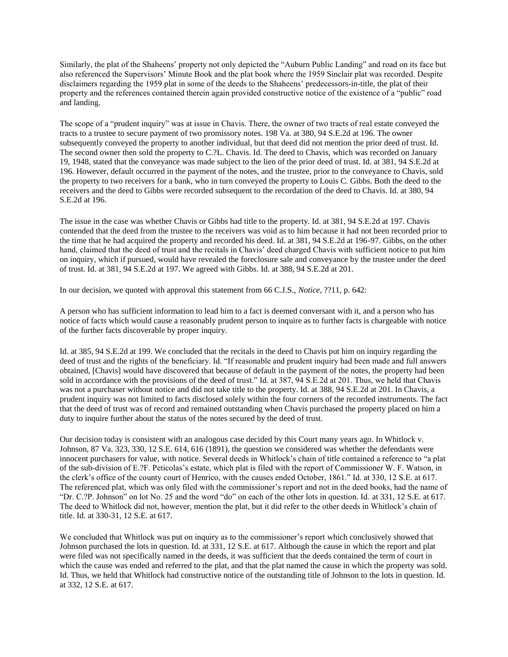Similarly, the plat of the Shaheens' property not only depicted the "Auburn Public Landing" and road on its face but also referenced the Supervisors' Minute Book and the plat book where the 1959 Sinclair plat was recorded. Despite disclaimers regarding the 1959 plat in some of the deeds to the Shaheens' predecessors-in-title, the plat of their property and the references contained therein again provided constructive notice of the existence of a "public" road and landing.

The scope of a "prudent inquiry" was at issue in Chavis. There, the owner of two tracts of real estate conveyed the tracts to a trustee to secure payment of two promissory notes. 198 Va. at 380, 94 S.E.2d at 196. The owner subsequently conveyed the property to another individual, but that deed did not mention the prior deed of trust. Id. The second owner then sold the property to C.?L. Chavis. Id. The deed to Chavis, which was recorded on January 19, 1948, stated that the conveyance was made subject to the lien of the prior deed of trust. Id. at 381, 94 S.E.2d at 196. However, default occurred in the payment of the notes, and the trustee, prior to the conveyance to Chavis, sold the property to two receivers for a bank, who in turn conveyed the property to Louis C. Gibbs. Both the deed to the receivers and the deed to Gibbs were recorded subsequent to the recordation of the deed to Chavis. Id. at 380, 94 S.E.2d at 196.

The issue in the case was whether Chavis or Gibbs had title to the property. Id. at 381, 94 S.E.2d at 197. Chavis contended that the deed from the trustee to the receivers was void as to him because it had not been recorded prior to the time that he had acquired the property and recorded his deed. Id. at 381, 94 S.E.2d at 196-97. Gibbs, on the other hand, claimed that the deed of trust and the recitals in Chavis' deed charged Chavis with sufficient notice to put him on inquiry, which if pursued, would have revealed the foreclosure sale and conveyance by the trustee under the deed of trust. Id. at 381, 94 S.E.2d at 197. We agreed with Gibbs. Id. at 388, 94 S.E.2d at 201.

In our decision, we quoted with approval this statement from 66 C.J.S., *Notice*, ??11, p. 642:

A person who has sufficient information to lead him to a fact is deemed conversant with it, and a person who has notice of facts which would cause a reasonably prudent person to inquire as to further facts is chargeable with notice of the further facts discoverable by proper inquiry.

Id. at 385, 94 S.E.2d at 199. We concluded that the recitals in the deed to Chavis put him on inquiry regarding the deed of trust and the rights of the beneficiary. Id. "If reasonable and prudent inquiry had been made and full answers obtained, [Chavis] would have discovered that because of default in the payment of the notes, the property had been sold in accordance with the provisions of the deed of trust." Id. at 387, 94 S.E.2d at 201. Thus, we held that Chavis was not a purchaser without notice and did not take title to the property. Id. at 388, 94 S.E.2d at 201. In Chavis, a prudent inquiry was not limited to facts disclosed solely within the four corners of the recorded instruments. The fact that the deed of trust was of record and remained outstanding when Chavis purchased the property placed on him a duty to inquire further about the status of the notes secured by the deed of trust.

Our decision today is consistent with an analogous case decided by this Court many years ago. In Whitlock v. Johnson, 87 Va. 323, 330, 12 S.E. 614, 616 (1891), the question we considered was whether the defendants were innocent purchasers for value, with notice. Several deeds in Whitlock's chain of title contained a reference to "a plat of the sub-division of E.?F. Peticolas's estate, which plat is filed with the report of Commissioner W. F. Watson, in the clerk's office of the county court of Henrico, with the causes ended October, 1861." Id. at 330, 12 S.E. at 617. The referenced plat, which was only filed with the commissioner's report and not in the deed books, had the name of "Dr. C.?P. Johnson" on lot No. 25 and the word "do" on each of the other lots in question. Id. at 331, 12 S.E. at 617. The deed to Whitlock did not, however, mention the plat, but it did refer to the other deeds in Whitlock's chain of title. Id. at 330-31, 12 S.E. at 617.

We concluded that Whitlock was put on inquiry as to the commissioner's report which conclusively showed that Johnson purchased the lots in question. Id. at 331, 12 S.E. at 617. Although the cause in which the report and plat were filed was not specifically named in the deeds, it was sufficient that the deeds contained the term of court in which the cause was ended and referred to the plat, and that the plat named the cause in which the property was sold. Id. Thus, we held that Whitlock had constructive notice of the outstanding title of Johnson to the lots in question. Id. at 332, 12 S.E. at 617.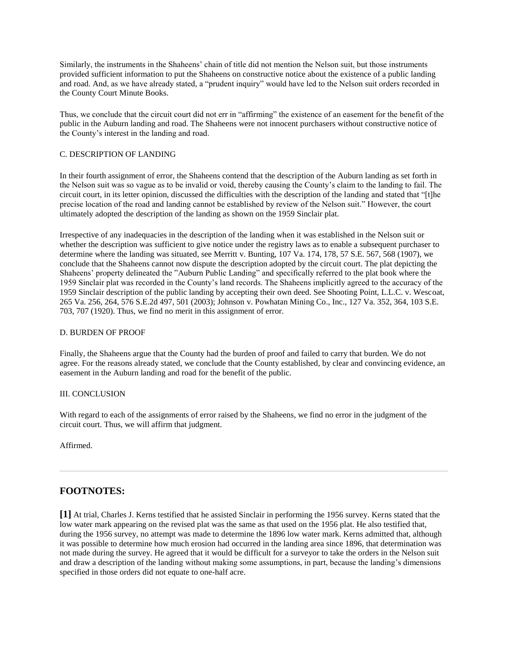Similarly, the instruments in the Shaheens' chain of title did not mention the Nelson suit, but those instruments provided sufficient information to put the Shaheens on constructive notice about the existence of a public landing and road. And, as we have already stated, a "prudent inquiry" would have led to the Nelson suit orders recorded in the County Court Minute Books.

Thus, we conclude that the circuit court did not err in "affirming" the existence of an easement for the benefit of the public in the Auburn landing and road. The Shaheens were not innocent purchasers without constructive notice of the County's interest in the landing and road.

## C. DESCRIPTION OF LANDING

In their fourth assignment of error, the Shaheens contend that the description of the Auburn landing as set forth in the Nelson suit was so vague as to be invalid or void, thereby causing the County's claim to the landing to fail. The circuit court, in its letter opinion, discussed the difficulties with the description of the landing and stated that "[t]he precise location of the road and landing cannot be established by review of the Nelson suit." However, the court ultimately adopted the description of the landing as shown on the 1959 Sinclair plat.

Irrespective of any inadequacies in the description of the landing when it was established in the Nelson suit or whether the description was sufficient to give notice under the registry laws as to enable a subsequent purchaser to determine where the landing was situated, see Merritt v. Bunting, 107 Va. 174, 178, 57 S.E. 567, 568 (1907), we conclude that the Shaheens cannot now dispute the description adopted by the circuit court. The plat depicting the Shaheens' property delineated the "Auburn Public Landing" and specifically referred to the plat book where the 1959 Sinclair plat was recorded in the County's land records. The Shaheens implicitly agreed to the accuracy of the 1959 Sinclair description of the public landing by accepting their own deed. See Shooting Point, L.L.C. v. Wescoat, 265 Va. 256, 264, 576 S.E.2d 497, 501 (2003); Johnson v. Powhatan Mining Co., Inc., 127 Va. 352, 364, 103 S.E. 703, 707 (1920). Thus, we find no merit in this assignment of error.

## D. BURDEN OF PROOF

Finally, the Shaheens argue that the County had the burden of proof and failed to carry that burden. We do not agree. For the reasons already stated, we conclude that the County established, by clear and convincing evidence, an easement in the Auburn landing and road for the benefit of the public.

### III. CONCLUSION

With regard to each of the assignments of error raised by the Shaheens, we find no error in the judgment of the circuit court. Thus, we will affirm that judgment.

Affirmed.

## **FOOTNOTES:**

**[1]** At trial, Charles J. Kerns testified that he assisted Sinclair in performing the 1956 survey. Kerns stated that the low water mark appearing on the revised plat was the same as that used on the 1956 plat. He also testified that, during the 1956 survey, no attempt was made to determine the 1896 low water mark. Kerns admitted that, although it was possible to determine how much erosion had occurred in the landing area since 1896, that determination was not made during the survey. He agreed that it would be difficult for a surveyor to take the orders in the Nelson suit and draw a description of the landing without making some assumptions, in part, because the landing's dimensions specified in those orders did not equate to one-half acre.